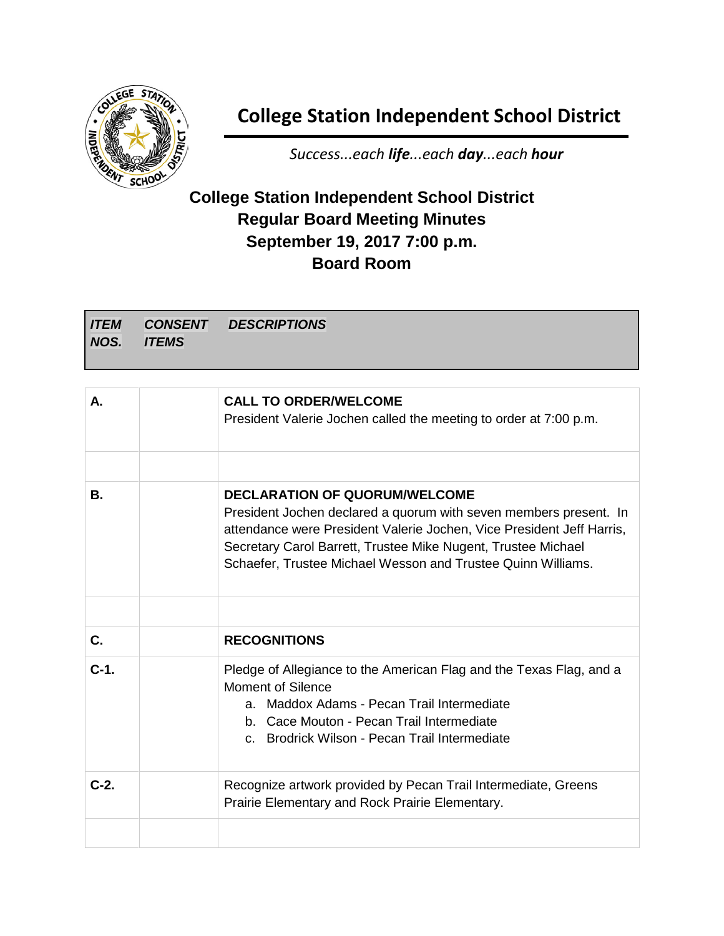

## **College Station Independent School District**

*Success...each life...each day...each hour*

## **College Station Independent School District Regular Board Meeting Minutes September 19, 2017 7:00 p.m. Board Room**

| <b>ITEM</b><br>NOS. | <b>ITEMS</b> | <b>CONSENT DESCRIPTIONS</b> |
|---------------------|--------------|-----------------------------|
|                     |              |                             |
|                     |              |                             |

| А.      | <b>CALL TO ORDER/WELCOME</b><br>President Valerie Jochen called the meeting to order at 7:00 p.m.                                                                                                                                                                                                                   |
|---------|---------------------------------------------------------------------------------------------------------------------------------------------------------------------------------------------------------------------------------------------------------------------------------------------------------------------|
|         |                                                                                                                                                                                                                                                                                                                     |
| В.      | <b>DECLARATION OF QUORUM/WELCOME</b><br>President Jochen declared a quorum with seven members present. In<br>attendance were President Valerie Jochen, Vice President Jeff Harris,<br>Secretary Carol Barrett, Trustee Mike Nugent, Trustee Michael<br>Schaefer, Trustee Michael Wesson and Trustee Quinn Williams. |
|         |                                                                                                                                                                                                                                                                                                                     |
| C.      | <b>RECOGNITIONS</b>                                                                                                                                                                                                                                                                                                 |
| $C-1$ . | Pledge of Allegiance to the American Flag and the Texas Flag, and a<br><b>Moment of Silence</b><br>a. Maddox Adams - Pecan Trail Intermediate<br>b. Cace Mouton - Pecan Trail Intermediate<br>c. Brodrick Wilson - Pecan Trail Intermediate                                                                         |
| $C-2.$  | Recognize artwork provided by Pecan Trail Intermediate, Greens<br>Prairie Elementary and Rock Prairie Elementary.                                                                                                                                                                                                   |
|         |                                                                                                                                                                                                                                                                                                                     |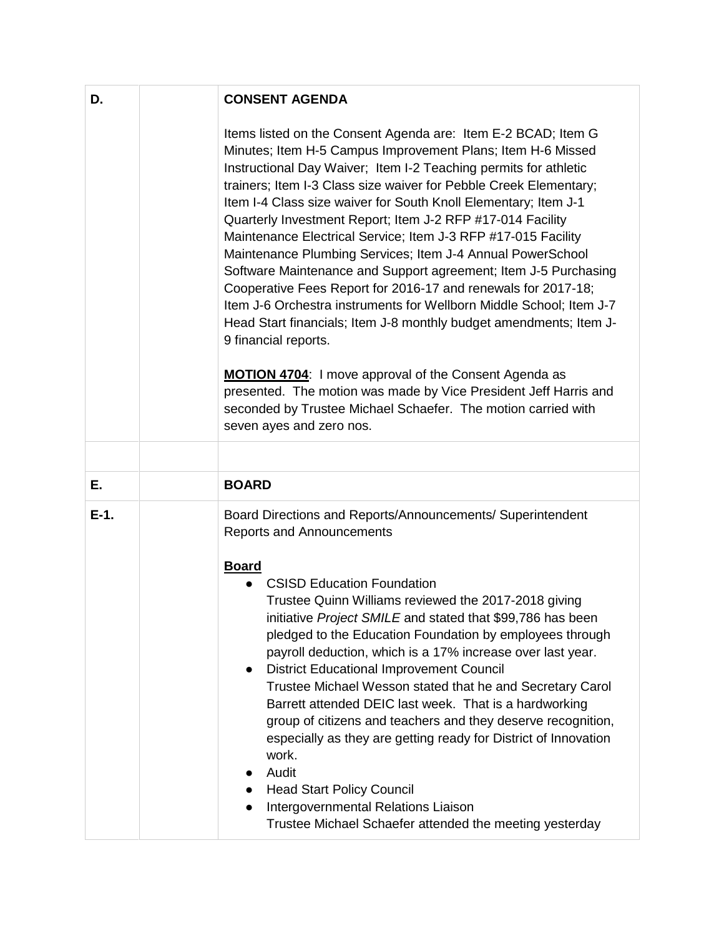| D.      | <b>CONSENT AGENDA</b>                                                                                                                                                                                                                                                                                                                                                                                                                                                                                                                                                                                                                                                                                                                                                                                                                                                                                                                                                                                                                                                           |
|---------|---------------------------------------------------------------------------------------------------------------------------------------------------------------------------------------------------------------------------------------------------------------------------------------------------------------------------------------------------------------------------------------------------------------------------------------------------------------------------------------------------------------------------------------------------------------------------------------------------------------------------------------------------------------------------------------------------------------------------------------------------------------------------------------------------------------------------------------------------------------------------------------------------------------------------------------------------------------------------------------------------------------------------------------------------------------------------------|
|         | Items listed on the Consent Agenda are: Item E-2 BCAD; Item G<br>Minutes; Item H-5 Campus Improvement Plans; Item H-6 Missed<br>Instructional Day Waiver; Item I-2 Teaching permits for athletic<br>trainers; Item I-3 Class size waiver for Pebble Creek Elementary;<br>Item I-4 Class size waiver for South Knoll Elementary; Item J-1<br>Quarterly Investment Report; Item J-2 RFP #17-014 Facility<br>Maintenance Electrical Service; Item J-3 RFP #17-015 Facility<br>Maintenance Plumbing Services; Item J-4 Annual PowerSchool<br>Software Maintenance and Support agreement; Item J-5 Purchasing<br>Cooperative Fees Report for 2016-17 and renewals for 2017-18;<br>Item J-6 Orchestra instruments for Wellborn Middle School; Item J-7<br>Head Start financials; Item J-8 monthly budget amendments; Item J-<br>9 financial reports.<br><b>MOTION 4704:</b> I move approval of the Consent Agenda as<br>presented. The motion was made by Vice President Jeff Harris and<br>seconded by Trustee Michael Schaefer. The motion carried with<br>seven ayes and zero nos. |
|         |                                                                                                                                                                                                                                                                                                                                                                                                                                                                                                                                                                                                                                                                                                                                                                                                                                                                                                                                                                                                                                                                                 |
| Е.      | <b>BOARD</b>                                                                                                                                                                                                                                                                                                                                                                                                                                                                                                                                                                                                                                                                                                                                                                                                                                                                                                                                                                                                                                                                    |
| $E-1$ . | Board Directions and Reports/Announcements/ Superintendent<br><b>Reports and Announcements</b><br><b>Board</b>                                                                                                                                                                                                                                                                                                                                                                                                                                                                                                                                                                                                                                                                                                                                                                                                                                                                                                                                                                  |
|         | <b>CSISD Education Foundation</b><br>Trustee Quinn Williams reviewed the 2017-2018 giving<br>initiative Project SMILE and stated that \$99,786 has been<br>pledged to the Education Foundation by employees through<br>payroll deduction, which is a 17% increase over last year.<br><b>District Educational Improvement Council</b><br>$\bullet$<br>Trustee Michael Wesson stated that he and Secretary Carol<br>Barrett attended DEIC last week. That is a hardworking<br>group of citizens and teachers and they deserve recognition,<br>especially as they are getting ready for District of Innovation<br>work.<br>Audit<br><b>Head Start Policy Council</b><br>Intergovernmental Relations Liaison<br>Trustee Michael Schaefer attended the meeting yesterday                                                                                                                                                                                                                                                                                                             |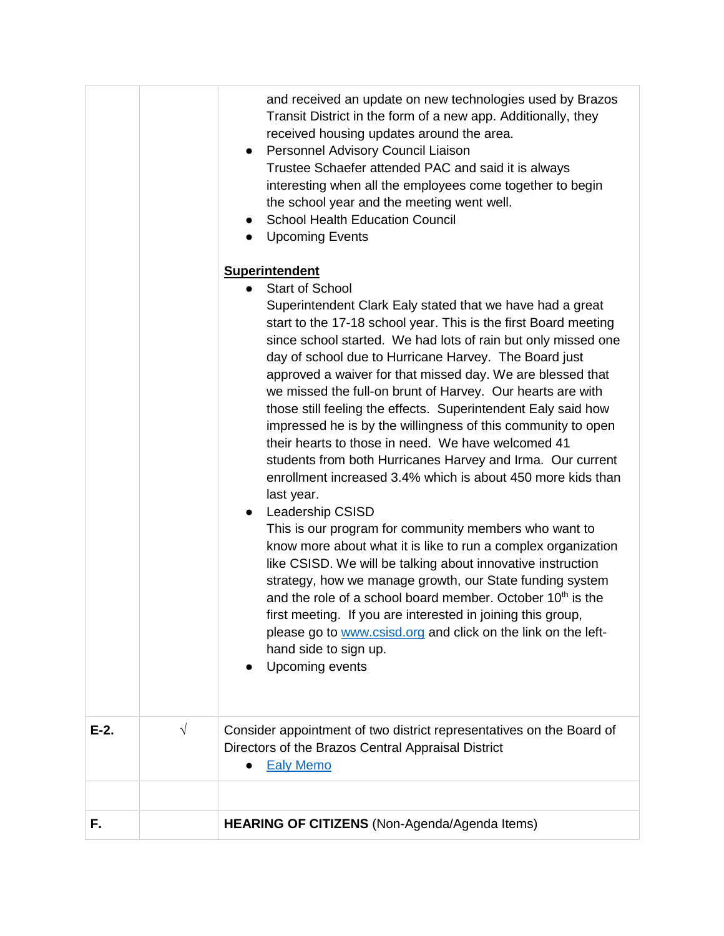|         |           | and received an update on new technologies used by Brazos<br>Transit District in the form of a new app. Additionally, they<br>received housing updates around the area.<br>Personnel Advisory Council Liaison<br>$\bullet$<br>Trustee Schaefer attended PAC and said it is always<br>interesting when all the employees come together to begin<br>the school year and the meeting went well.<br><b>School Health Education Council</b><br>$\bullet$<br><b>Upcoming Events</b><br>$\bullet$                                                                                                                                                                                                                                                                                                                                                                                                                                                                                                                                                                                                                                                                                                                                                                                                                          |
|---------|-----------|---------------------------------------------------------------------------------------------------------------------------------------------------------------------------------------------------------------------------------------------------------------------------------------------------------------------------------------------------------------------------------------------------------------------------------------------------------------------------------------------------------------------------------------------------------------------------------------------------------------------------------------------------------------------------------------------------------------------------------------------------------------------------------------------------------------------------------------------------------------------------------------------------------------------------------------------------------------------------------------------------------------------------------------------------------------------------------------------------------------------------------------------------------------------------------------------------------------------------------------------------------------------------------------------------------------------|
|         |           | <b>Superintendent</b><br><b>Start of School</b><br>Superintendent Clark Ealy stated that we have had a great<br>start to the 17-18 school year. This is the first Board meeting<br>since school started. We had lots of rain but only missed one<br>day of school due to Hurricane Harvey. The Board just<br>approved a waiver for that missed day. We are blessed that<br>we missed the full-on brunt of Harvey. Our hearts are with<br>those still feeling the effects. Superintendent Ealy said how<br>impressed he is by the willingness of this community to open<br>their hearts to those in need. We have welcomed 41<br>students from both Hurricanes Harvey and Irma. Our current<br>enrollment increased 3.4% which is about 450 more kids than<br>last year.<br>Leadership CSISD<br>$\bullet$<br>This is our program for community members who want to<br>know more about what it is like to run a complex organization<br>like CSISD. We will be talking about innovative instruction<br>strategy, how we manage growth, our State funding system<br>and the role of a school board member. October 10 <sup>th</sup> is the<br>first meeting. If you are interested in joining this group,<br>please go to www.csisd.org and click on the link on the left-<br>hand side to sign up.<br>Upcoming events |
| $E-2$ . | $\sqrt{}$ | Consider appointment of two district representatives on the Board of<br>Directors of the Brazos Central Appraisal District<br><b>Ealy Memo</b>                                                                                                                                                                                                                                                                                                                                                                                                                                                                                                                                                                                                                                                                                                                                                                                                                                                                                                                                                                                                                                                                                                                                                                      |
|         |           |                                                                                                                                                                                                                                                                                                                                                                                                                                                                                                                                                                                                                                                                                                                                                                                                                                                                                                                                                                                                                                                                                                                                                                                                                                                                                                                     |
| F.      |           | HEARING OF CITIZENS (Non-Agenda/Agenda Items)                                                                                                                                                                                                                                                                                                                                                                                                                                                                                                                                                                                                                                                                                                                                                                                                                                                                                                                                                                                                                                                                                                                                                                                                                                                                       |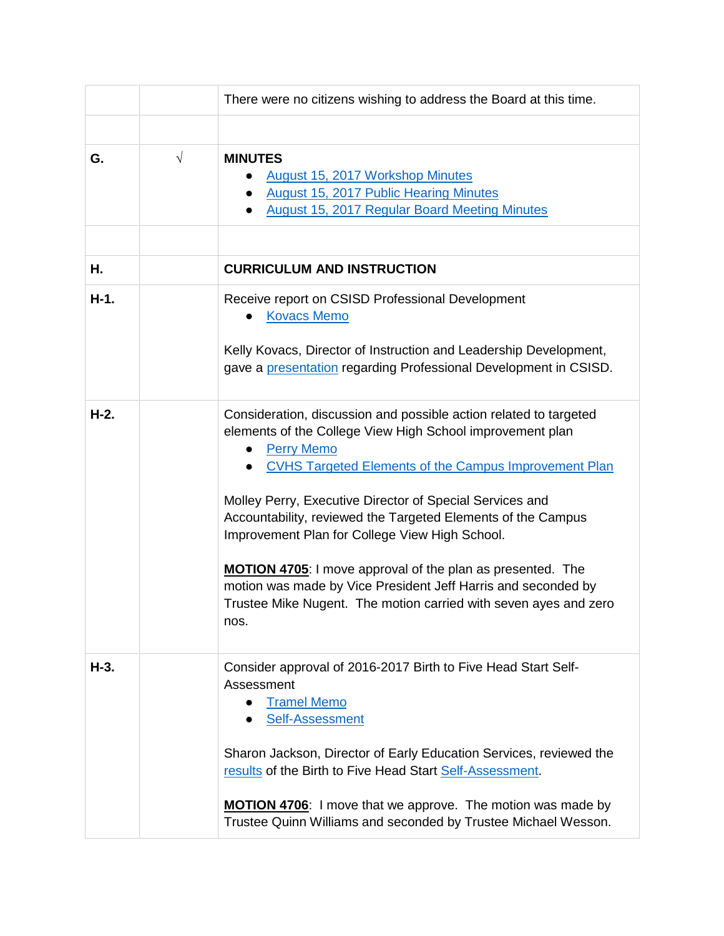|        |           | There were no citizens wishing to address the Board at this time.                                                                                                                                                                                                                                                                                                                                                                                                                                                                                                                                                         |
|--------|-----------|---------------------------------------------------------------------------------------------------------------------------------------------------------------------------------------------------------------------------------------------------------------------------------------------------------------------------------------------------------------------------------------------------------------------------------------------------------------------------------------------------------------------------------------------------------------------------------------------------------------------------|
|        |           |                                                                                                                                                                                                                                                                                                                                                                                                                                                                                                                                                                                                                           |
| G.     | $\sqrt{}$ | <b>MINUTES</b><br><b>August 15, 2017 Workshop Minutes</b><br><b>August 15, 2017 Public Hearing Minutes</b><br><b>August 15, 2017 Regular Board Meeting Minutes</b><br>$\bullet$                                                                                                                                                                                                                                                                                                                                                                                                                                           |
| Η.     |           | <b>CURRICULUM AND INSTRUCTION</b>                                                                                                                                                                                                                                                                                                                                                                                                                                                                                                                                                                                         |
| $H-1.$ |           | Receive report on CSISD Professional Development<br><b>Kovacs Memo</b><br>Kelly Kovacs, Director of Instruction and Leadership Development,<br>gave a presentation regarding Professional Development in CSISD.                                                                                                                                                                                                                                                                                                                                                                                                           |
| $H-2.$ |           | Consideration, discussion and possible action related to targeted<br>elements of the College View High School improvement plan<br><b>Perry Memo</b><br><b>CVHS Targeted Elements of the Campus Improvement Plan</b><br>$\bullet$<br>Molley Perry, Executive Director of Special Services and<br>Accountability, reviewed the Targeted Elements of the Campus<br>Improvement Plan for College View High School.<br>MOTION 4705: I move approval of the plan as presented. The<br>motion was made by Vice President Jeff Harris and seconded by<br>Trustee Mike Nugent. The motion carried with seven ayes and zero<br>nos. |
| H-3.   |           | Consider approval of 2016-2017 Birth to Five Head Start Self-<br>Assessment<br><b>Tramel Memo</b><br>Self-Assessment<br>Sharon Jackson, Director of Early Education Services, reviewed the<br>results of the Birth to Five Head Start Self-Assessment.<br>MOTION 4706: I move that we approve. The motion was made by<br>Trustee Quinn Williams and seconded by Trustee Michael Wesson.                                                                                                                                                                                                                                   |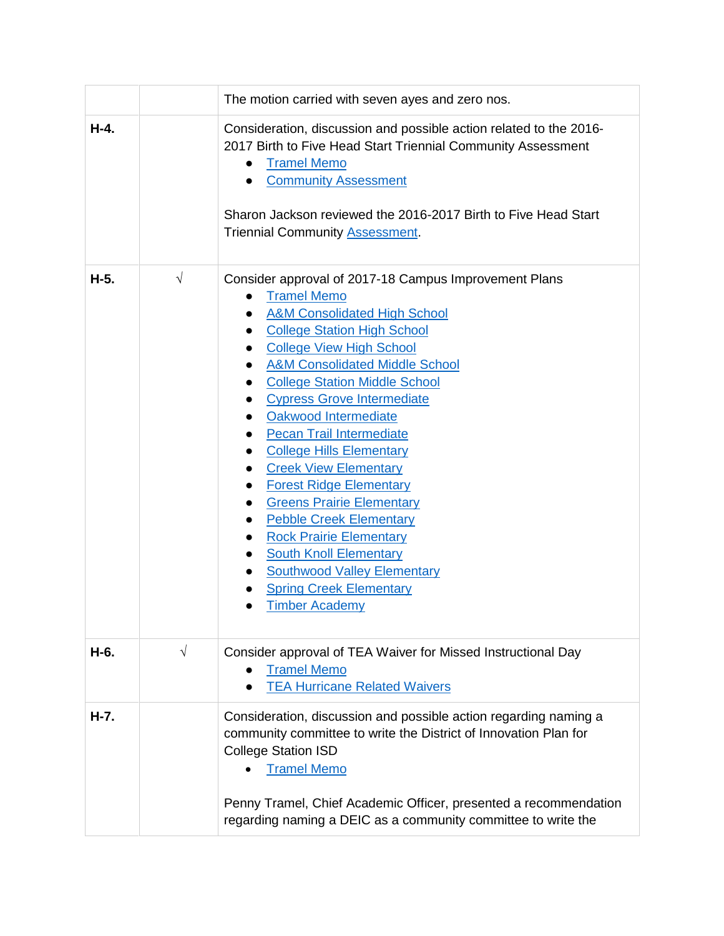|        |            | The motion carried with seven ayes and zero nos.                                                                                                                                                                                                                                                                                                                                                                                                                                                                                                                                                                                                                                                                                                                                                                                                                                                             |
|--------|------------|--------------------------------------------------------------------------------------------------------------------------------------------------------------------------------------------------------------------------------------------------------------------------------------------------------------------------------------------------------------------------------------------------------------------------------------------------------------------------------------------------------------------------------------------------------------------------------------------------------------------------------------------------------------------------------------------------------------------------------------------------------------------------------------------------------------------------------------------------------------------------------------------------------------|
| $H-4.$ |            | Consideration, discussion and possible action related to the 2016-<br>2017 Birth to Five Head Start Triennial Community Assessment<br><b>Tramel Memo</b><br><b>Community Assessment</b><br>$\bullet$<br>Sharon Jackson reviewed the 2016-2017 Birth to Five Head Start<br><b>Triennial Community Assessment.</b>                                                                                                                                                                                                                                                                                                                                                                                                                                                                                                                                                                                             |
| H-5.   | $\sqrt{ }$ | Consider approval of 2017-18 Campus Improvement Plans<br><b>Tramel Memo</b><br><b>A&amp;M Consolidated High School</b><br>$\bullet$<br><b>College Station High School</b><br>$\bullet$<br><b>College View High School</b><br><b>A&amp;M Consolidated Middle School</b><br><b>College Station Middle School</b><br>$\bullet$<br><b>Cypress Grove Intermediate</b><br>$\bullet$<br>Oakwood Intermediate<br><b>Pecan Trail Intermediate</b><br>$\bullet$<br><b>College Hills Elementary</b><br>$\bullet$<br><b>Creek View Elementary</b><br>$\bullet$<br><b>Forest Ridge Elementary</b><br>$\bullet$<br><b>Greens Prairie Elementary</b><br>$\bullet$<br><b>Pebble Creek Elementary</b><br><b>Rock Prairie Elementary</b><br>$\bullet$<br><b>South Knoll Elementary</b><br>$\bullet$<br><b>Southwood Valley Elementary</b><br>$\bullet$<br><b>Spring Creek Elementary</b><br><b>Timber Academy</b><br>$\bullet$ |
| H-6.   | $\sqrt{}$  | Consider approval of TEA Waiver for Missed Instructional Day<br><b>Tramel Memo</b><br><b>TEA Hurricane Related Waivers</b>                                                                                                                                                                                                                                                                                                                                                                                                                                                                                                                                                                                                                                                                                                                                                                                   |
| H-7.   |            | Consideration, discussion and possible action regarding naming a<br>community committee to write the District of Innovation Plan for<br><b>College Station ISD</b><br><b>Tramel Memo</b><br>Penny Tramel, Chief Academic Officer, presented a recommendation<br>regarding naming a DEIC as a community committee to write the                                                                                                                                                                                                                                                                                                                                                                                                                                                                                                                                                                                |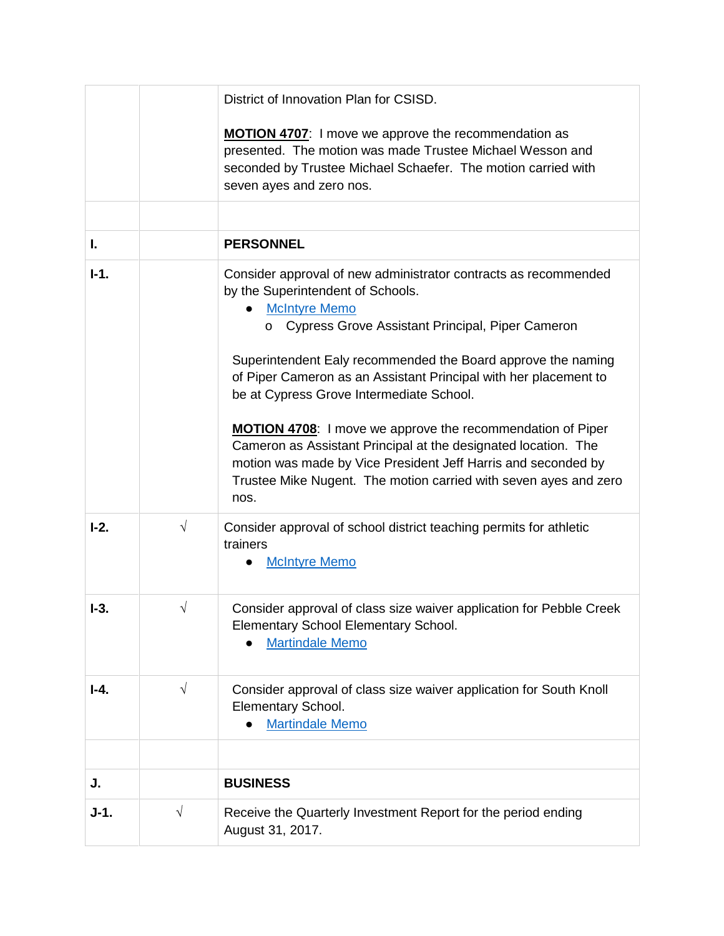|        |            | District of Innovation Plan for CSISD.                                                                                                                                                                                                                                                                                                                                                                                                                                                                                                                                                                                                               |
|--------|------------|------------------------------------------------------------------------------------------------------------------------------------------------------------------------------------------------------------------------------------------------------------------------------------------------------------------------------------------------------------------------------------------------------------------------------------------------------------------------------------------------------------------------------------------------------------------------------------------------------------------------------------------------------|
|        |            | <b>MOTION 4707:</b> I move we approve the recommendation as<br>presented. The motion was made Trustee Michael Wesson and<br>seconded by Trustee Michael Schaefer. The motion carried with<br>seven ayes and zero nos.                                                                                                                                                                                                                                                                                                                                                                                                                                |
|        |            |                                                                                                                                                                                                                                                                                                                                                                                                                                                                                                                                                                                                                                                      |
| I.     |            | <b>PERSONNEL</b>                                                                                                                                                                                                                                                                                                                                                                                                                                                                                                                                                                                                                                     |
| $I-1.$ |            | Consider approval of new administrator contracts as recommended<br>by the Superintendent of Schools.<br><b>McIntyre Memo</b><br>Cypress Grove Assistant Principal, Piper Cameron<br>Superintendent Ealy recommended the Board approve the naming<br>of Piper Cameron as an Assistant Principal with her placement to<br>be at Cypress Grove Intermediate School.<br><b>MOTION 4708:</b> I move we approve the recommendation of Piper<br>Cameron as Assistant Principal at the designated location. The<br>motion was made by Vice President Jeff Harris and seconded by<br>Trustee Mike Nugent. The motion carried with seven ayes and zero<br>nos. |
| $I-2.$ | $\sqrt{ }$ | Consider approval of school district teaching permits for athletic<br>trainers<br><b>McIntyre Memo</b>                                                                                                                                                                                                                                                                                                                                                                                                                                                                                                                                               |
| $I-3.$ | V          | Consider approval of class size waiver application for Pebble Creek<br>Elementary School Elementary School.<br><b>Martindale Memo</b>                                                                                                                                                                                                                                                                                                                                                                                                                                                                                                                |
| I-4.   | $\sqrt{ }$ | Consider approval of class size waiver application for South Knoll<br>Elementary School.<br><b>Martindale Memo</b>                                                                                                                                                                                                                                                                                                                                                                                                                                                                                                                                   |
|        |            |                                                                                                                                                                                                                                                                                                                                                                                                                                                                                                                                                                                                                                                      |
| J.     |            | <b>BUSINESS</b>                                                                                                                                                                                                                                                                                                                                                                                                                                                                                                                                                                                                                                      |
| $J-1.$ | $\sqrt{}$  | Receive the Quarterly Investment Report for the period ending<br>August 31, 2017.                                                                                                                                                                                                                                                                                                                                                                                                                                                                                                                                                                    |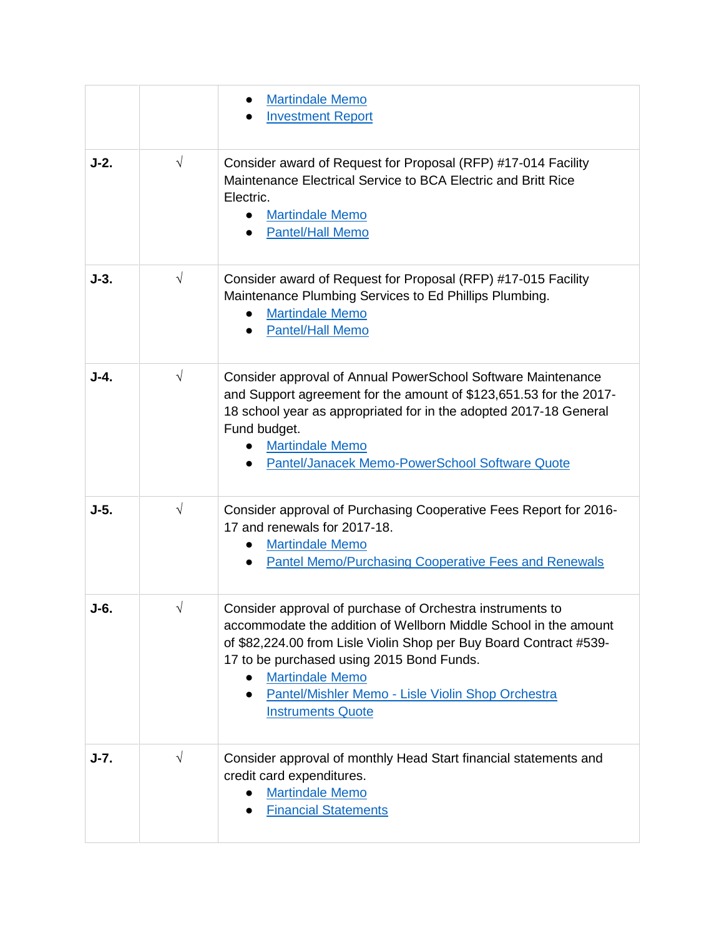|        |            | <b>Martindale Memo</b><br><b>Investment Report</b>                                                                                                                                                                                                                                                                                                                       |
|--------|------------|--------------------------------------------------------------------------------------------------------------------------------------------------------------------------------------------------------------------------------------------------------------------------------------------------------------------------------------------------------------------------|
| $J-2.$ | $\sqrt{ }$ | Consider award of Request for Proposal (RFP) #17-014 Facility<br>Maintenance Electrical Service to BCA Electric and Britt Rice<br>Electric.<br><b>Martindale Memo</b><br><b>Pantel/Hall Memo</b>                                                                                                                                                                         |
| $J-3.$ | $\sqrt{ }$ | Consider award of Request for Proposal (RFP) #17-015 Facility<br>Maintenance Plumbing Services to Ed Phillips Plumbing.<br><b>Martindale Memo</b><br><b>Pantel/Hall Memo</b><br>$\bullet$                                                                                                                                                                                |
| $J-4.$ | $\sqrt{ }$ | Consider approval of Annual PowerSchool Software Maintenance<br>and Support agreement for the amount of \$123,651.53 for the 2017-<br>18 school year as appropriated for in the adopted 2017-18 General<br>Fund budget.<br><b>Martindale Memo</b><br>Pantel/Janacek Memo-PowerSchool Software Quote                                                                      |
| $J-5.$ | $\sqrt{ }$ | Consider approval of Purchasing Cooperative Fees Report for 2016-<br>17 and renewals for 2017-18.<br><b>Martindale Memo</b><br><b>Pantel Memo/Purchasing Cooperative Fees and Renewals</b>                                                                                                                                                                               |
| J-6.   | V          | Consider approval of purchase of Orchestra instruments to<br>accommodate the addition of Wellborn Middle School in the amount<br>of \$82,224.00 from Lisle Violin Shop per Buy Board Contract #539-<br>17 to be purchased using 2015 Bond Funds.<br><b>Martindale Memo</b><br>$\bullet$<br>Pantel/Mishler Memo - Lisle Violin Shop Orchestra<br><b>Instruments Quote</b> |
| $J-7.$ | $\sqrt{}$  | Consider approval of monthly Head Start financial statements and<br>credit card expenditures.<br><b>Martindale Memo</b><br><b>Financial Statements</b>                                                                                                                                                                                                                   |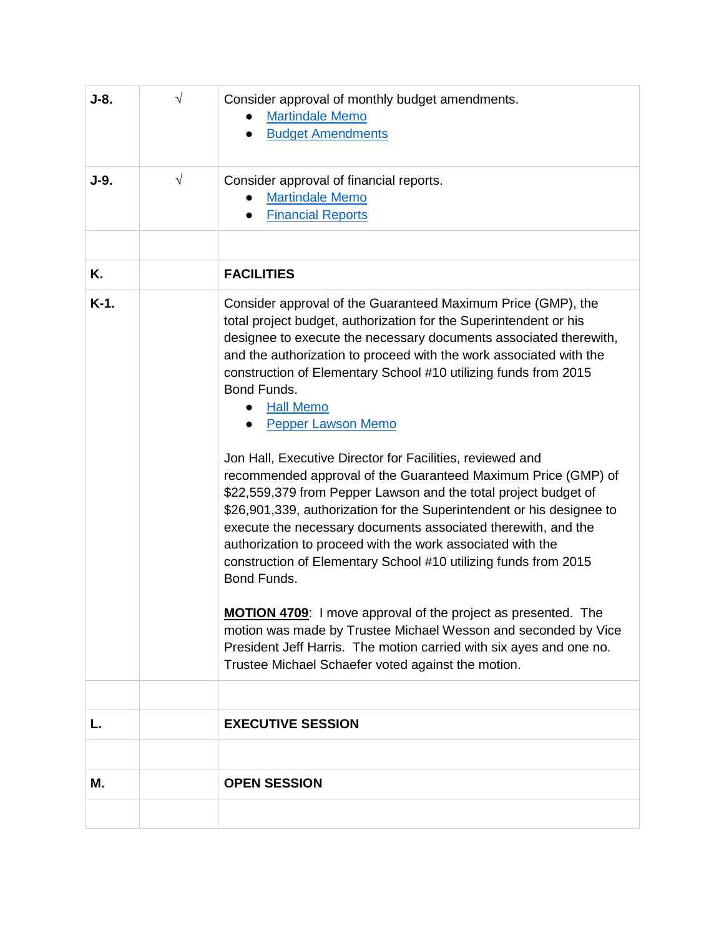| $J-8.$  | $\sqrt{ }$ | Consider approval of monthly budget amendments.<br><b>Martindale Memo</b><br><b>Budget Amendments</b><br>$\bullet$                                                                                                                                                                                                                                                                                                                                                                                                                                                                                                                                                                                                                                                                                                                                                                                                                                                                                                                                                                                                                                                                      |
|---------|------------|-----------------------------------------------------------------------------------------------------------------------------------------------------------------------------------------------------------------------------------------------------------------------------------------------------------------------------------------------------------------------------------------------------------------------------------------------------------------------------------------------------------------------------------------------------------------------------------------------------------------------------------------------------------------------------------------------------------------------------------------------------------------------------------------------------------------------------------------------------------------------------------------------------------------------------------------------------------------------------------------------------------------------------------------------------------------------------------------------------------------------------------------------------------------------------------------|
| $J-9.$  | $\sqrt{ }$ | Consider approval of financial reports.<br><b>Martindale Memo</b><br><b>Financial Reports</b>                                                                                                                                                                                                                                                                                                                                                                                                                                                                                                                                                                                                                                                                                                                                                                                                                                                                                                                                                                                                                                                                                           |
|         |            |                                                                                                                                                                                                                                                                                                                                                                                                                                                                                                                                                                                                                                                                                                                                                                                                                                                                                                                                                                                                                                                                                                                                                                                         |
| Κ.      |            | <b>FACILITIES</b>                                                                                                                                                                                                                                                                                                                                                                                                                                                                                                                                                                                                                                                                                                                                                                                                                                                                                                                                                                                                                                                                                                                                                                       |
| $K-1$ . |            | Consider approval of the Guaranteed Maximum Price (GMP), the<br>total project budget, authorization for the Superintendent or his<br>designee to execute the necessary documents associated therewith,<br>and the authorization to proceed with the work associated with the<br>construction of Elementary School #10 utilizing funds from 2015<br>Bond Funds.<br><b>Hall Memo</b><br><b>Pepper Lawson Memo</b><br>$\bullet$<br>Jon Hall, Executive Director for Facilities, reviewed and<br>recommended approval of the Guaranteed Maximum Price (GMP) of<br>\$22,559,379 from Pepper Lawson and the total project budget of<br>\$26,901,339, authorization for the Superintendent or his designee to<br>execute the necessary documents associated therewith, and the<br>authorization to proceed with the work associated with the<br>construction of Elementary School #10 utilizing funds from 2015<br>Bond Funds.<br>MOTION 4709: I move approval of the project as presented. The<br>motion was made by Trustee Michael Wesson and seconded by Vice<br>President Jeff Harris. The motion carried with six ayes and one no.<br>Trustee Michael Schaefer voted against the motion. |
|         |            |                                                                                                                                                                                                                                                                                                                                                                                                                                                                                                                                                                                                                                                                                                                                                                                                                                                                                                                                                                                                                                                                                                                                                                                         |
| L.      |            | <b>EXECUTIVE SESSION</b>                                                                                                                                                                                                                                                                                                                                                                                                                                                                                                                                                                                                                                                                                                                                                                                                                                                                                                                                                                                                                                                                                                                                                                |
|         |            |                                                                                                                                                                                                                                                                                                                                                                                                                                                                                                                                                                                                                                                                                                                                                                                                                                                                                                                                                                                                                                                                                                                                                                                         |
| Μ.      |            | <b>OPEN SESSION</b>                                                                                                                                                                                                                                                                                                                                                                                                                                                                                                                                                                                                                                                                                                                                                                                                                                                                                                                                                                                                                                                                                                                                                                     |
|         |            |                                                                                                                                                                                                                                                                                                                                                                                                                                                                                                                                                                                                                                                                                                                                                                                                                                                                                                                                                                                                                                                                                                                                                                                         |